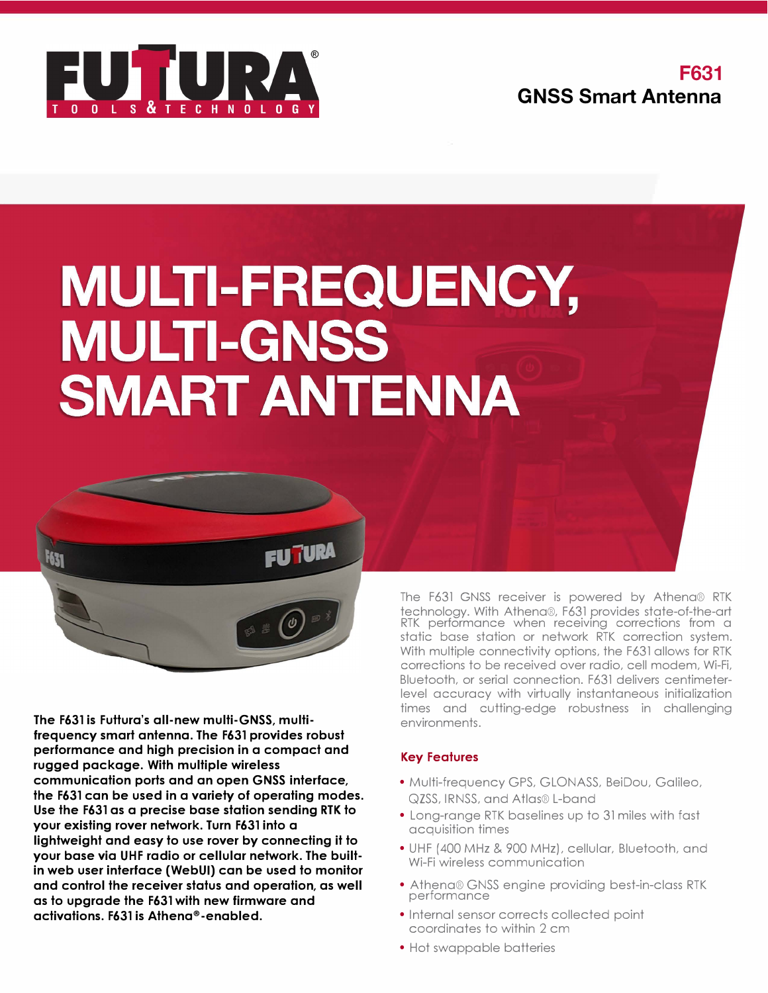

# **MULTI-FREQUENCY, MULTI-GNSS SMART ANTENNA**



**The F631 is Futtura's all-new multi-GNSS, multifrequency smart antenna. The F631 provides robust performance and high precision in a compact and rugged package. With multiple wireless communication ports and an open GNSS interface, the F631 can be used in a variety of operating modes. Use the F631 as a precise base station sending RTK to your existing rover network. Turn F631 into a lightweight and easy to use rover by connecting it to your base via UHF radio or cellular network. The builtin web user interface (WebUI) can be used to monitor and control the receiver status and operation, as well as to upgrade the F631 with new firmware and activations. F631 is Athena®•enabled.**

The F631 GNSS receiver is powered by Athena® RTK technology. With Athena®, F631 provides state-of-the-art RTK performance when receiving corrections from a static base station or network RTK correction system. With multiple connectivity options, the F631 allows for RTK corrections to be received over radio, cell modem, Wi-Fi, Bluetooth, or serial connection. F631 delivers centimeterlevel accuracy with virtually instantaneous initialization times and cutting-edge robustness in challenging environments.

# **Key Features**

- Multi-frequency GPS, GLONASS, BeiDou, Galileo, QZSS, IRNSS, and Atlas® L-band
- Long-range RTK baselines up to 31 miles with fast acquisition times
- UHF (400 MHz & 900 MHz), cellular, Bluetooth, and Wi-Fi wireless communication
- Athena® GNSS engine providing best-in-class RTK performance
- Internal sensor corrects collected point coordinates to within 2 cm
- Hot swappable batteries